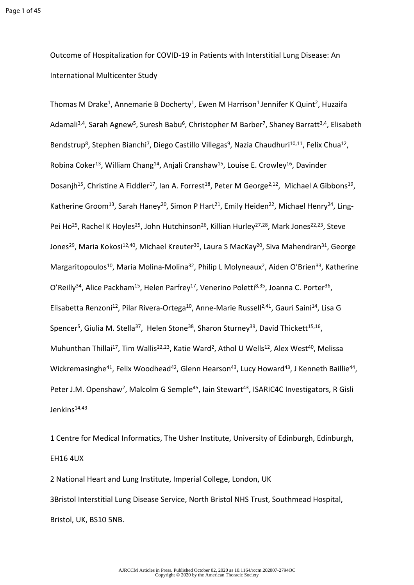Outcome of Hospitalization for COVID-19 in Patients with Interstitial Lung Disease: An International Multicenter Study

Thomas M Drake<sup>1</sup>, Annemarie B Docherty<sup>1</sup>, Ewen M Harrison<sup>1</sup> Jennifer K Quint<sup>2</sup>, Huzaifa Adamali<sup>3,4</sup>, Sarah Agnew<sup>5</sup>, Suresh Babu<sup>6</sup>, Christopher M Barber<sup>7</sup>, Shaney Barratt<sup>3,4</sup>, Elisabeth Bendstrup<sup>8</sup>, Stephen Bianchi<sup>7</sup>, Diego Castillo Villegas<sup>9</sup>, Nazia Chaudhuri<sup>10,11</sup>, Felix Chua<sup>12</sup>, Robina Coker<sup>13</sup>, William Chang<sup>14</sup>, Anjali Cranshaw<sup>15</sup>, Louise E. Crowley<sup>16</sup>, Davinder Dosanjh<sup>15</sup>, Christine A Fiddler<sup>17</sup>, Ian A. Forrest<sup>18</sup>, Peter M George<sup>2,12</sup>, Michael A Gibbons<sup>19</sup>, Katherine Groom<sup>13</sup>, Sarah Haney<sup>20</sup>, Simon P Hart<sup>21</sup>, Emily Heiden<sup>22</sup>, Michael Henry<sup>24</sup>, Ling-Pei Ho<sup>25</sup>, Rachel K Hoyles<sup>25</sup>, John Hutchinson<sup>26</sup>, Killian Hurley<sup>27,28</sup>, Mark Jones<sup>22,23</sup>, Steve Jones<sup>29</sup>, Maria Kokosi<sup>12,40</sup>, Michael Kreuter<sup>30</sup>, Laura S MacKay<sup>20</sup>, Siva Mahendran<sup>31</sup>, George Margaritopoulos<sup>10</sup>, Maria Molina-Molina<sup>32</sup>, Philip L Molyneaux<sup>2</sup>, Aiden O'Brien<sup>33</sup>, Katherine O'Reilly<sup>34</sup>, Alice Packham<sup>15</sup>, Helen Parfrey<sup>17</sup>, Venerino Poletti<sup>8,35</sup>, Joanna C. Porter<sup>36</sup>, Elisabetta Renzoni<sup>12</sup>, Pilar Rivera-Ortega<sup>10</sup>, Anne-Marie Russell<sup>2,41</sup>, Gauri Saini<sup>14</sup>, Lisa G Spencer<sup>5</sup>, Giulia M. Stella<sup>37</sup>, Helen Stone<sup>38</sup>, Sharon Sturney<sup>39</sup>, David Thickett<sup>15,16</sup>, Muhunthan Thillai<sup>17</sup>, Tim Wallis<sup>22,23</sup>, Katie Ward<sup>2</sup>, Athol U Wells<sup>12</sup>, Alex West<sup>40</sup>, Melissa Wickremasinghe<sup>41</sup>, Felix Woodhead<sup>42</sup>, Glenn Hearson<sup>43</sup>, Lucy Howard<sup>43</sup>, J Kenneth Baillie<sup>44</sup>, Peter J.M. Openshaw<sup>2</sup>, Malcolm G Semple<sup>45</sup>, Iain Stewart<sup>43</sup>, ISARIC4C Investigators, R Gisli Jenkins<sup>14,43</sup>

1 Centre for Medical Informatics, The Usher Institute, University of Edinburgh, Edinburgh, EH16 4UX

2 National Heart and Lung Institute, Imperial College, London, UK 3Bristol Interstitial Lung Disease Service, North Bristol NHS Trust, Southmead Hospital, Bristol, UK, BS10 5NB.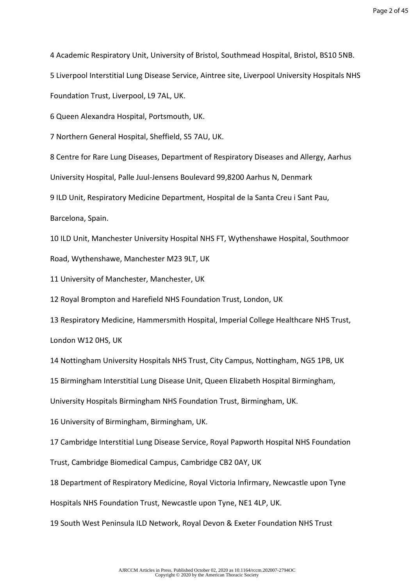4 Academic Respiratory Unit, University of Bristol, Southmead Hospital, Bristol, BS10 5NB.

5 Liverpool Interstitial Lung Disease Service, Aintree site, Liverpool University Hospitals NHS

Foundation Trust, Liverpool, L9 7AL, UK.

6 Queen Alexandra Hospital, Portsmouth, UK.

7 Northern General Hospital, Sheffield, S5 7AU, UK.

8 Centre for Rare Lung Diseases, Department of Respiratory Diseases and Allergy, Aarhus

University Hospital, Palle Juul-Jensens Boulevard 99,8200 Aarhus N, Denmark

9 ILD Unit, Respiratory Medicine Department, Hospital de la Santa Creu i Sant Pau,

Barcelona, Spain.

10 ILD Unit, Manchester University Hospital NHS FT, Wythenshawe Hospital, Southmoor Road, Wythenshawe, Manchester M23 9LT, UK

11 University of Manchester, Manchester, UK

12 Royal Brompton and Harefield NHS Foundation Trust, London, UK

13 Respiratory Medicine, Hammersmith Hospital, Imperial College Healthcare NHS Trust, London W12 0HS, UK

14 Nottingham University Hospitals NHS Trust, City Campus, Nottingham, NG5 1PB, UK

15 Birmingham Interstitial Lung Disease Unit, Queen Elizabeth Hospital Birmingham,

University Hospitals Birmingham NHS Foundation Trust, Birmingham, UK.

16 University of Birmingham, Birmingham, UK.

17 Cambridge Interstitial Lung Disease Service, Royal Papworth Hospital NHS Foundation Trust, Cambridge Biomedical Campus, Cambridge CB2 0AY, UK

18 Department of Respiratory Medicine, Royal Victoria Infirmary, Newcastle upon Tyne

Hospitals NHS Foundation Trust, Newcastle upon Tyne, NE1 4LP, UK.

19 South West Peninsula ILD Network, Royal Devon & Exeter Foundation NHS Trust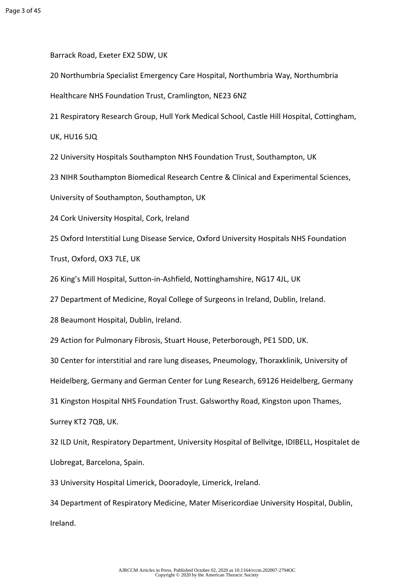Barrack Road, Exeter EX2 5DW, UK

20 Northumbria Specialist Emergency Care Hospital, Northumbria Way, Northumbria

Healthcare NHS Foundation Trust, Cramlington, NE23 6NZ

21 Respiratory Research Group, Hull York Medical School, Castle Hill Hospital, Cottingham,

UK, HU16 5JQ

22 University Hospitals Southampton NHS Foundation Trust, Southampton, UK

23 NIHR Southampton Biomedical Research Centre & Clinical and Experimental Sciences,

University of Southampton, Southampton, UK

24 Cork University Hospital, Cork, Ireland

25 Oxford Interstitial Lung Disease Service, Oxford University Hospitals NHS Foundation

Trust, Oxford, OX3 7LE, UK

26 King's Mill Hospital, Sutton-in-Ashfield, Nottinghamshire, NG17 4JL, UK

27 Department of Medicine, Royal College of Surgeons in Ireland, Dublin, Ireland.

28 Beaumont Hospital, Dublin, Ireland.

29 Action for Pulmonary Fibrosis, Stuart House, Peterborough, PE1 5DD, UK.

30 Center for interstitial and rare lung diseases, Pneumology, Thoraxklinik, University of

Heidelberg, Germany and German Center for Lung Research, 69126 Heidelberg, Germany

31 Kingston Hospital NHS Foundation Trust. Galsworthy Road, Kingston upon Thames,

Surrey KT2 7QB, UK.

32 ILD Unit, Respiratory Department, University Hospital of Bellvitge, IDIBELL, Hospitalet de Llobregat, Barcelona, Spain.

33 University Hospital Limerick, Dooradoyle, Limerick, Ireland.

34 Department of Respiratory Medicine, Mater Misericordiae University Hospital, Dublin, Ireland.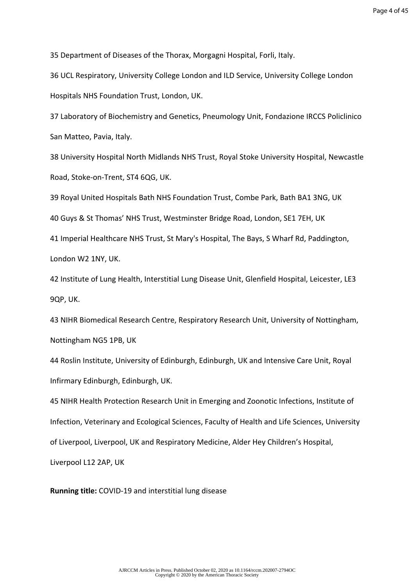35 Department of Diseases of the Thorax, Morgagni Hospital, Forli, Italy.

36 UCL Respiratory, University College London and ILD Service, University College London Hospitals NHS Foundation Trust, London, UK.

37 Laboratory of Biochemistry and Genetics, Pneumology Unit, Fondazione IRCCS Policlinico San Matteo, Pavia, Italy.

38 University Hospital North Midlands NHS Trust, Royal Stoke University Hospital, Newcastle Road, Stoke-on-Trent, ST4 6QG, UK.

39 Royal United Hospitals Bath NHS Foundation Trust, Combe Park, Bath BA1 3NG, UK

40 Guys & St Thomas' NHS Trust, Westminster Bridge Road, London, SE1 7EH, UK

41 Imperial Healthcare NHS Trust, St Mary's Hospital, The Bays, S Wharf Rd, Paddington, London W2 1NY, UK.

42 Institute of Lung Health, Interstitial Lung Disease Unit, Glenfield Hospital, Leicester, LE3 9QP, UK.

43 NIHR Biomedical Research Centre, Respiratory Research Unit, University of Nottingham, Nottingham NG5 1PB, UK

44 Roslin Institute, University of Edinburgh, Edinburgh, UK and Intensive Care Unit, Royal Infirmary Edinburgh, Edinburgh, UK.

45 NIHR Health Protection Research Unit in Emerging and Zoonotic Infections, Institute of Infection, Veterinary and Ecological Sciences, Faculty of Health and Life Sciences, University of Liverpool, Liverpool, UK and Respiratory Medicine, Alder Hey Children's Hospital, Liverpool L12 2AP, UK

**Running title:** COVID-19 and interstitial lung disease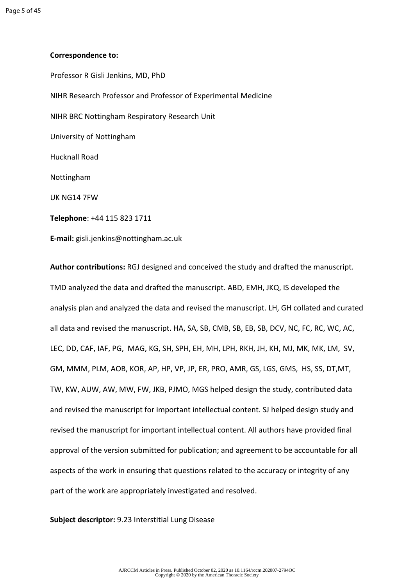#### **Correspondence to:**

Professor R Gisli Jenkins, MD, PhD NIHR Research Professor and Professor of Experimental Medicine NIHR BRC Nottingham Respiratory Research Unit University of Nottingham Hucknall Road Nottingham UK NG14 7FW **Telephone**: +44 115 823 1711 **E-mail:** gisli.jenkins@nottingham.ac.uk

**Author contributions:** RGJ designed and conceived the study and drafted the manuscript. TMD analyzed the data and drafted the manuscript. ABD, EMH, JKQ, IS developed the analysis plan and analyzed the data and revised the manuscript. LH, GH collated and curated all data and revised the manuscript. HA, SA, SB, CMB, SB, EB, SB, DCV, NC, FC, RC, WC, AC, LEC, DD, CAF, IAF, PG, MAG, KG, SH, SPH, EH, MH, LPH, RKH, JH, KH, MJ, MK, MK, LM, SV, GM, MMM, PLM, AOB, KOR, AP, HP, VP, JP, ER, PRO, AMR, GS, LGS, GMS, HS, SS, DT,MT, TW, KW, AUW, AW, MW, FW, JKB, PJMO, MGS helped design the study, contributed data and revised the manuscript for important intellectual content. SJ helped design study and revised the manuscript for important intellectual content. All authors have provided final approval of the version submitted for publication; and agreement to be accountable for all aspects of the work in ensuring that questions related to the accuracy or integrity of any part of the work are appropriately investigated and resolved.

**Subject descriptor:** 9.23 Interstitial Lung Disease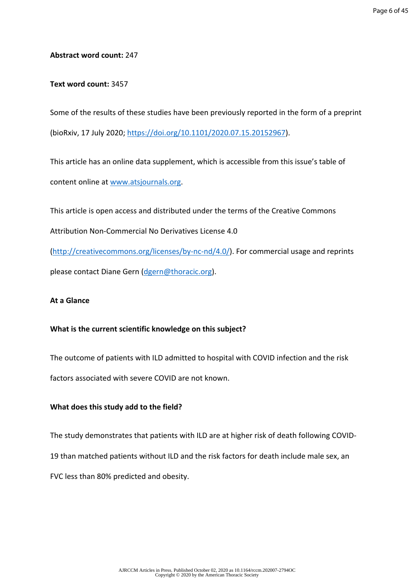#### **Abstract word count:** 247

#### **Text word count:** 3457

Some of the results of these studies have been previously reported in the form of a preprint (bioRxiv, 17 July 2020; <https://doi.org/10.1101/2020.07.15.20152967>).

This article has an online data supplement, which is accessible from this issue's table of content online at [www.atsjournals.org.](http://www.atsjournals.org)

This article is open access and distributed under the terms of the Creative Commons Attribution Non-Commercial No Derivatives License 4.0 (<http://creativecommons.org/licenses/by-nc-nd/4.0/>). For commercial usage and reprints

please contact Diane Gern ([dgern@thoracic.org\)](mailto:dgern@thoracic.org).

## **At a Glance**

#### **What is the current scientific knowledge on this subject?**

The outcome of patients with ILD admitted to hospital with COVID infection and the risk factors associated with severe COVID are not known.

## **What does this study add to the field?**

The study demonstrates that patients with ILD are at higher risk of death following COVID-19 than matched patients without ILD and the risk factors for death include male sex, an FVC less than 80% predicted and obesity.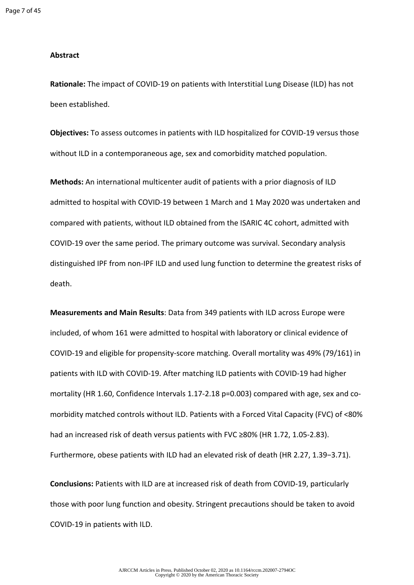#### **Abstract**

**Rationale:** The impact of COVID-19 on patients with Interstitial Lung Disease (ILD) has not been established.

**Objectives:** To assess outcomes in patients with ILD hospitalized for COVID-19 versus those without ILD in a contemporaneous age, sex and comorbidity matched population.

**Methods:** An international multicenter audit of patients with a prior diagnosis of ILD admitted to hospital with COVID-19 between 1 March and 1 May 2020 was undertaken and compared with patients, without ILD obtained from the ISARIC 4C cohort, admitted with COVID-19 over the same period. The primary outcome was survival. Secondary analysis distinguished IPF from non-IPF ILD and used lung function to determine the greatest risks of death.

**Measurements and Main Results**: Data from 349 patients with ILD across Europe were included, of whom 161 were admitted to hospital with laboratory or clinical evidence of COVID-19 and eligible for propensity-score matching. Overall mortality was 49% (79/161) in patients with ILD with COVID-19. After matching ILD patients with COVID-19 had higher mortality (HR 1.60, Confidence Intervals 1.17-2.18 p=0.003) compared with age, sex and comorbidity matched controls without ILD. Patients with a Forced Vital Capacity (FVC) of <80% had an increased risk of death versus patients with FVC ≥80% (HR 1.72, 1.05-2.83). Furthermore, obese patients with ILD had an elevated risk of death (HR 2.27, 1.39−3.71).

**Conclusions:** Patients with ILD are at increased risk of death from COVID-19, particularly those with poor lung function and obesity. Stringent precautions should be taken to avoid COVID-19 in patients with ILD.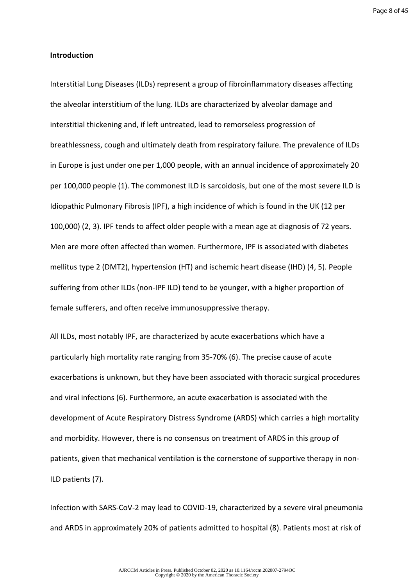Page 8 of 45

#### **Introduction**

Interstitial Lung Diseases (ILDs) represent a group of fibroinflammatory diseases affecting the alveolar interstitium of the lung. ILDs are characterized by alveolar damage and interstitial thickening and, if left untreated, lead to remorseless progression of breathlessness, cough and ultimately death from respiratory failure. The prevalence of ILDs in Europe is just under one per 1,000 people, with an annual incidence of approximately 20 per 100,000 people (1). The commonest ILD is sarcoidosis, but one of the most severe ILD is Idiopathic Pulmonary Fibrosis (IPF), a high incidence of which is found in the UK (12 per 100,000) (2, 3). IPF tends to affect older people with a mean age at diagnosis of 72 years. Men are more often affected than women. Furthermore, IPF is associated with diabetes mellitus type 2 (DMT2), hypertension (HT) and ischemic heart disease (IHD) (4, 5). People suffering from other ILDs (non-IPF ILD) tend to be younger, with a higher proportion of female sufferers, and often receive immunosuppressive therapy.

All ILDs, most notably IPF, are characterized by acute exacerbations which have a particularly high mortality rate ranging from 35-70% (6). The precise cause of acute exacerbations is unknown, but they have been associated with thoracic surgical procedures and viral infections (6). Furthermore, an acute exacerbation is associated with the development of Acute Respiratory Distress Syndrome (ARDS) which carries a high mortality and morbidity. However, there is no consensus on treatment of ARDS in this group of patients, given that mechanical ventilation is the cornerstone of supportive therapy in non-ILD patients (7).

Infection with SARS-CoV-2 may lead to COVID-19, characterized by a severe viral pneumonia and ARDS in approximately 20% of patients admitted to hospital (8). Patients most at risk of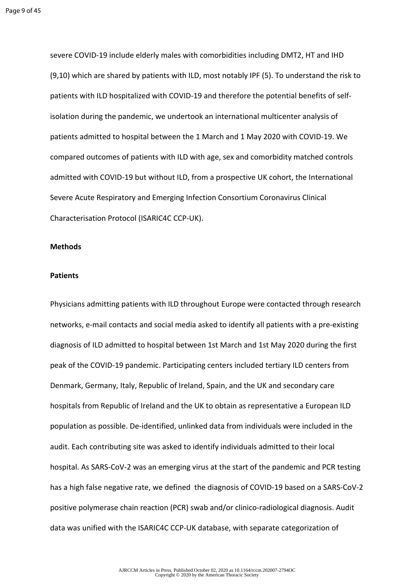severe COVID-19 include elderly males with comorbidities including DMT2, HT and IHD (9,10) which are shared by patients with ILD, most notably IPF (5). To understand the risk to patients with ILD hospitalized with COVID-19 and therefore the potential benefits of selfisolation during the pandemic, we undertook an international multicenter analysis of patients admitted to hospital between the 1 March and 1 May 2020 with COVID-19. We compared outcomes of patients with ILD with age, sex and comorbidity matched controls admitted with COVID-19 but without ILD, from a prospective UK cohort, the International Severe Acute Respiratory and Emerging Infection Consortium Coronavirus Clinical Characterisation Protocol (ISARIC4C CCP-UK).

#### **Methods**

#### **Patients**

Physicians admitting patients with ILD throughout Europe were contacted through research networks, e-mail contacts and social media asked to identify all patients with a pre-existing diagnosis of ILD admitted to hospital between 1st March and 1st May 2020 during the first peak of the COVID-19 pandemic. Participating centers included tertiary ILD centers from Denmark, Germany, Italy, Republic of Ireland, Spain, and the UK and secondary care hospitals from Republic of Ireland and the UK to obtain as representative a European ILD population as possible. De-identified, unlinked data from individuals were included in the audit. Each contributing site was asked to identify individuals admitted to their local hospital. As SARS-CoV-2 was an emerging virus at the start of the pandemic and PCR testing has a high false negative rate, we defined the diagnosis of COVID-19 based on a SARS-CoV-2 positive polymerase chain reaction (PCR) swab and/or clinico-radiological diagnosis. Audit data was unified with the ISARIC4C CCP-UK database, with separate categorization of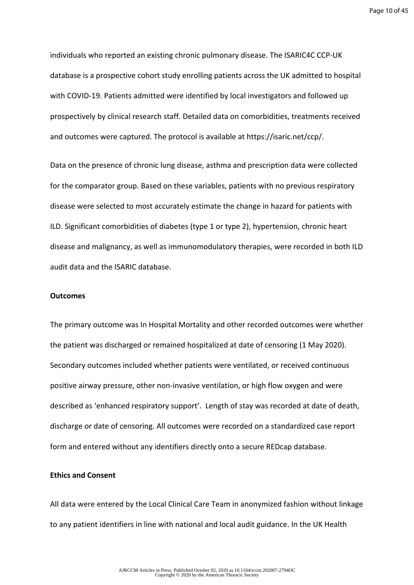Page 10 of 45

individuals who reported an existing chronic pulmonary disease. The ISARIC4C CCP-UK database is a prospective cohort study enrolling patients across the UK admitted to hospital with COVID-19. Patients admitted were identified by local investigators and followed up prospectively by clinical research staff. Detailed data on comorbidities, treatments received and outcomes were captured. The protocol is available at https://isaric.net/ccp/.

Data on the presence of chronic lung disease, asthma and prescription data were collected for the comparator group. Based on these variables, patients with no previous respiratory disease were selected to most accurately estimate the change in hazard for patients with ILD. Significant comorbidities of diabetes (type 1 or type 2), hypertension, chronic heart disease and malignancy, as well as immunomodulatory therapies, were recorded in both ILD audit data and the ISARIC database.

#### **Outcomes**

The primary outcome was In Hospital Mortality and other recorded outcomes were whether the patient was discharged or remained hospitalized at date of censoring (1 May 2020). Secondary outcomes included whether patients were ventilated, or received continuous positive airway pressure, other non-invasive ventilation, or high flow oxygen and were described as 'enhanced respiratory support'. Length of stay was recorded at date of death, discharge or date of censoring. All outcomes were recorded on a standardized case report form and entered without any identifiers directly onto a secure REDcap database.

#### **Ethics and Consent**

All data were entered by the Local Clinical Care Team in anonymized fashion without linkage to any patient identifiers in line with national and local audit guidance. In the UK Health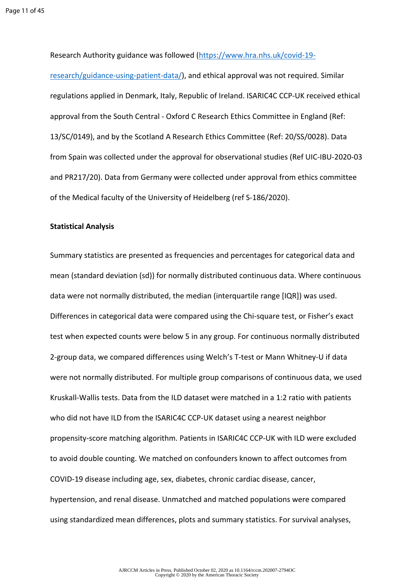Research Authority guidance was followed ([https://www.hra.nhs.uk/covid-19-](https://www.hra.nhs.uk/covid-19-research/guidance-using-patient-data/)

[research/guidance-using-patient-data/](https://www.hra.nhs.uk/covid-19-research/guidance-using-patient-data/)), and ethical approval was not required. Similar regulations applied in Denmark, Italy, Republic of Ireland. ISARIC4C CCP-UK received ethical approval from the South Central - Oxford C Research Ethics Committee in England (Ref: 13/SC/0149), and by the Scotland A Research Ethics Committee (Ref: 20/SS/0028). Data from Spain was collected under the approval for observational studies (Ref UIC-IBU-2020-03 and PR217/20). Data from Germany were collected under approval from ethics committee of the Medical faculty of the University of Heidelberg (ref S-186/2020).

#### **Statistical Analysis**

Summary statistics are presented as frequencies and percentages for categorical data and mean (standard deviation (sd)) for normally distributed continuous data. Where continuous data were not normally distributed, the median (interquartile range [IQR]) was used. Differences in categorical data were compared using the Chi-square test, or Fisher's exact test when expected counts were below 5 in any group. For continuous normally distributed 2-group data, we compared differences using Welch's T-test or Mann Whitney-U if data were not normally distributed. For multiple group comparisons of continuous data, we used Kruskall-Wallis tests. Data from the ILD dataset were matched in a 1:2 ratio with patients who did not have ILD from the ISARIC4C CCP-UK dataset using a nearest neighbor propensity-score matching algorithm. Patients in ISARIC4C CCP-UK with ILD were excluded to avoid double counting. We matched on confounders known to affect outcomes from COVID-19 disease including age, sex, diabetes, chronic cardiac disease, cancer, hypertension, and renal disease. Unmatched and matched populations were compared using standardized mean differences, plots and summary statistics. For survival analyses,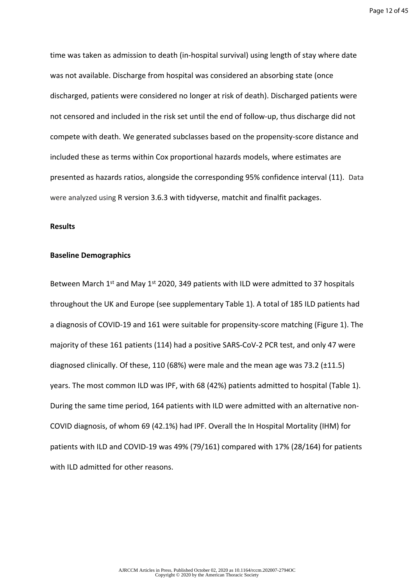time was taken as admission to death (in-hospital survival) using length of stay where date was not available. Discharge from hospital was considered an absorbing state (once discharged, patients were considered no longer at risk of death). Discharged patients were not censored and included in the risk set until the end of follow-up, thus discharge did not compete with death. We generated subclasses based on the propensity-score distance and included these as terms within Cox proportional hazards models, where estimates are presented as hazards ratios, alongside the corresponding 95% confidence interval (11). Data were analyzed using R version 3.6.3 with tidyverse, matchit and finalfit packages.

#### **Results**

#### **Baseline Demographics**

Between March  $1^{st}$  and May  $1^{st}$  2020, 349 patients with ILD were admitted to 37 hospitals throughout the UK and Europe (see supplementary Table 1). A total of 185 ILD patients had a diagnosis of COVID-19 and 161 were suitable for propensity-score matching (Figure 1). The majority of these 161 patients (114) had a positive SARS-CoV-2 PCR test, and only 47 were diagnosed clinically. Of these, 110 (68%) were male and the mean age was 73.2 (±11.5) years. The most common ILD was IPF, with 68 (42%) patients admitted to hospital (Table 1). During the same time period, 164 patients with ILD were admitted with an alternative non-COVID diagnosis, of whom 69 (42.1%) had IPF. Overall the In Hospital Mortality (IHM) for patients with ILD and COVID-19 was 49% (79/161) compared with 17% (28/164) for patients with ILD admitted for other reasons.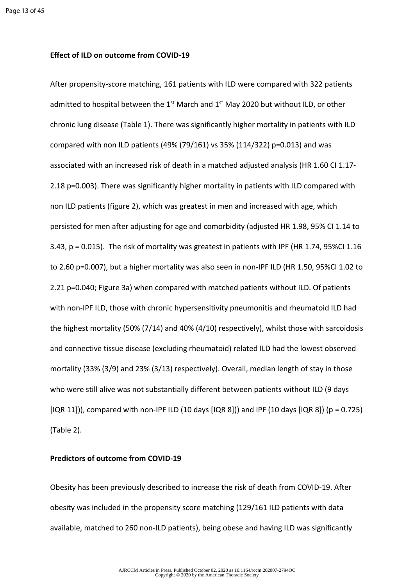#### **Effect of ILD on outcome from COVID-19**

After propensity-score matching, 161 patients with ILD were compared with 322 patients admitted to hospital between the  $1<sup>st</sup>$  March and  $1<sup>st</sup>$  May 2020 but without ILD, or other chronic lung disease (Table 1). There was significantly higher mortality in patients with ILD compared with non ILD patients (49% (79/161) vs 35% (114/322) p=0.013) and was associated with an increased risk of death in a matched adjusted analysis (HR 1.60 CI 1.17- 2.18 p=0.003). There was significantly higher mortality in patients with ILD compared with non ILD patients (figure 2), which was greatest in men and increased with age, which persisted for men after adjusting for age and comorbidity (adjusted HR 1.98, 95% CI 1.14 to 3.43, p = 0.015). The risk of mortality was greatest in patients with IPF (HR 1.74, 95%CI 1.16 to 2.60 p=0.007), but a higher mortality was also seen in non-IPF ILD (HR 1.50, 95%CI 1.02 to 2.21 p=0.040; Figure 3a) when compared with matched patients without ILD. Of patients with non-IPF ILD, those with chronic hypersensitivity pneumonitis and rheumatoid ILD had the highest mortality (50% (7/14) and 40% (4/10) respectively), whilst those with sarcoidosis and connective tissue disease (excluding rheumatoid) related ILD had the lowest observed mortality (33% (3/9) and 23% (3/13) respectively). Overall, median length of stay in those who were still alive was not substantially different between patients without ILD (9 days [IQR 11])), compared with non-IPF ILD (10 days [IQR 8])) and IPF (10 days [IQR 8]) (p = 0.725) (Table 2).

#### **Predictors of outcome from COVID-19**

Obesity has been previously described to increase the risk of death from COVID-19. After obesity was included in the propensity score matching (129/161 ILD patients with data available, matched to 260 non-ILD patients), being obese and having ILD was significantly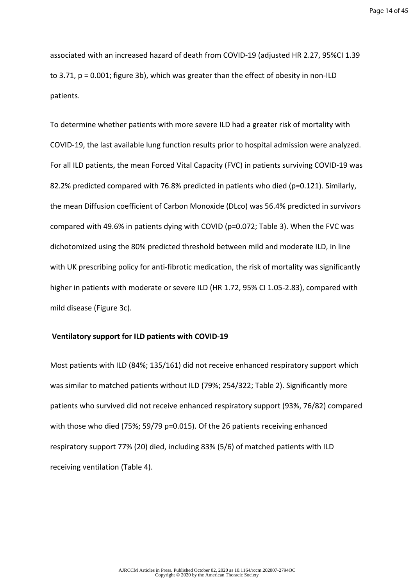Page 14 of 45

associated with an increased hazard of death from COVID-19 (adjusted HR 2.27, 95%CI 1.39 to 3.71, p = 0.001; figure 3b), which was greater than the effect of obesity in non-ILD patients.

To determine whether patients with more severe ILD had a greater risk of mortality with COVID-19, the last available lung function results prior to hospital admission were analyzed. For all ILD patients, the mean Forced Vital Capacity (FVC) in patients surviving COVID-19 was 82.2% predicted compared with 76.8% predicted in patients who died (p=0.121). Similarly, the mean Diffusion coefficient of Carbon Monoxide (DLco) was 56.4% predicted in survivors compared with 49.6% in patients dying with COVID (p=0.072; Table 3). When the FVC was dichotomized using the 80% predicted threshold between mild and moderate ILD, in line with UK prescribing policy for anti-fibrotic medication, the risk of mortality was significantly higher in patients with moderate or severe ILD (HR 1.72, 95% CI 1.05-2.83), compared with mild disease (Figure 3c).

#### **Ventilatory support for ILD patients with COVID-19**

Most patients with ILD (84%; 135/161) did not receive enhanced respiratory support which was similar to matched patients without ILD (79%; 254/322; Table 2). Significantly more patients who survived did not receive enhanced respiratory support (93%, 76/82) compared with those who died (75%; 59/79 p=0.015). Of the 26 patients receiving enhanced respiratory support 77% (20) died, including 83% (5/6) of matched patients with ILD receiving ventilation (Table 4).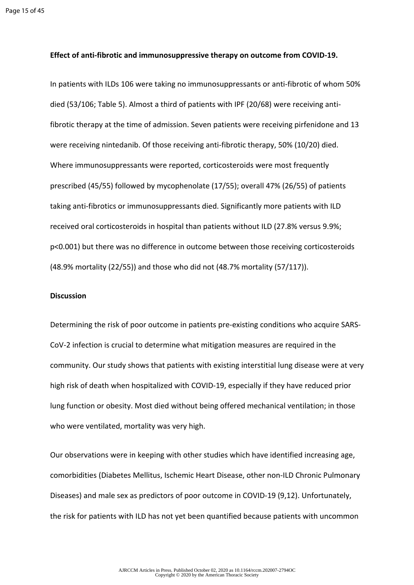#### **Effect of anti-fibrotic and immunosuppressive therapy on outcome from COVID-19.**

In patients with ILDs 106 were taking no immunosuppressants or anti-fibrotic of whom 50% died (53/106; Table 5). Almost a third of patients with IPF (20/68) were receiving antifibrotic therapy at the time of admission. Seven patients were receiving pirfenidone and 13 were receiving nintedanib. Of those receiving anti-fibrotic therapy, 50% (10/20) died. Where immunosuppressants were reported, corticosteroids were most frequently prescribed (45/55) followed by mycophenolate (17/55); overall 47% (26/55) of patients taking anti-fibrotics or immunosuppressants died. Significantly more patients with ILD received oral corticosteroids in hospital than patients without ILD (27.8% versus 9.9%; p<0.001) but there was no difference in outcome between those receiving corticosteroids (48.9% mortality (22/55)) and those who did not (48.7% mortality (57/117)).

#### **Discussion**

Determining the risk of poor outcome in patients pre-existing conditions who acquire SARS-CoV-2 infection is crucial to determine what mitigation measures are required in the community. Our study shows that patients with existing interstitial lung disease were at very high risk of death when hospitalized with COVID-19, especially if they have reduced prior lung function or obesity. Most died without being offered mechanical ventilation; in those who were ventilated, mortality was very high.

Our observations were in keeping with other studies which have identified increasing age, comorbidities (Diabetes Mellitus, Ischemic Heart Disease, other non-ILD Chronic Pulmonary Diseases) and male sex as predictors of poor outcome in COVID-19 (9,12). Unfortunately, the risk for patients with ILD has not yet been quantified because patients with uncommon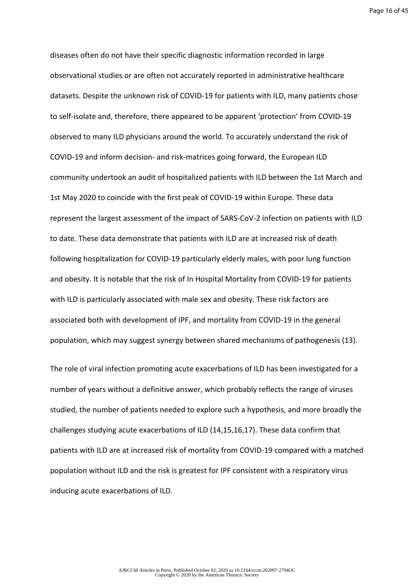Page 16 of 45

diseases often do not have their specific diagnostic information recorded in large observational studies or are often not accurately reported in administrative healthcare datasets. Despite the unknown risk of COVID-19 for patients with ILD, many patients chose to self-isolate and, therefore, there appeared to be apparent 'protection' from COVID-19 observed to many ILD physicians around the world. To accurately understand the risk of COVID-19 and inform decision- and risk-matrices going forward, the European ILD community undertook an audit of hospitalized patients with ILD between the 1st March and 1st May 2020 to coincide with the first peak of COVID-19 within Europe. These data represent the largest assessment of the impact of SARS-CoV-2 infection on patients with ILD to date. These data demonstrate that patients with ILD are at increased risk of death following hospitalization for COVID-19 particularly elderly males, with poor lung function and obesity. It is notable that the risk of In Hospital Mortality from COVID-19 for patients with ILD is particularly associated with male sex and obesity. These risk factors are associated both with development of IPF, and mortality from COVID-19 in the general population, which may suggest synergy between shared mechanisms of pathogenesis (13).

The role of viral infection promoting acute exacerbations of ILD has been investigated for a number of years without a definitive answer, which probably reflects the range of viruses studied, the number of patients needed to explore such a hypothesis, and more broadly the challenges studying acute exacerbations of ILD (14,15,16,17). These data confirm that patients with ILD are at increased risk of mortality from COVID-19 compared with a matched population without ILD and the risk is greatest for IPF consistent with a respiratory virus inducing acute exacerbations of ILD.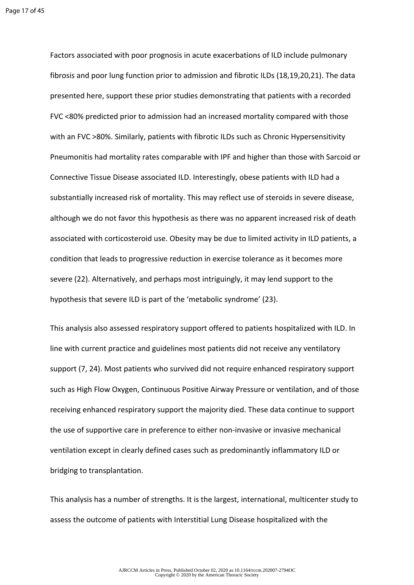Factors associated with poor prognosis in acute exacerbations of ILD include pulmonary fibrosis and poor lung function prior to admission and fibrotic ILDs (18,19,20,21). The data presented here, support these prior studies demonstrating that patients with a recorded FVC <80% predicted prior to admission had an increased mortality compared with those with an FVC >80%. Similarly, patients with fibrotic ILDs such as Chronic Hypersensitivity Pneumonitis had mortality rates comparable with IPF and higher than those with Sarcoid or Connective Tissue Disease associated ILD. Interestingly, obese patients with ILD had a substantially increased risk of mortality. This may reflect use of steroids in severe disease, although we do not favor this hypothesis as there was no apparent increased risk of death associated with corticosteroid use. Obesity may be due to limited activity in ILD patients, a condition that leads to progressive reduction in exercise tolerance as it becomes more severe (22). Alternatively, and perhaps most intriguingly, it may lend support to the hypothesis that severe ILD is part of the 'metabolic syndrome' (23).

This analysis also assessed respiratory support offered to patients hospitalized with ILD. In line with current practice and guidelines most patients did not receive any ventilatory support (7, 24). Most patients who survived did not require enhanced respiratory support such as High Flow Oxygen, Continuous Positive Airway Pressure or ventilation, and of those receiving enhanced respiratory support the majority died. These data continue to support the use of supportive care in preference to either non-invasive or invasive mechanical ventilation except in clearly defined cases such as predominantly inflammatory ILD or bridging to transplantation.

This analysis has a number of strengths. It is the largest, international, multicenter study to assess the outcome of patients with Interstitial Lung Disease hospitalized with the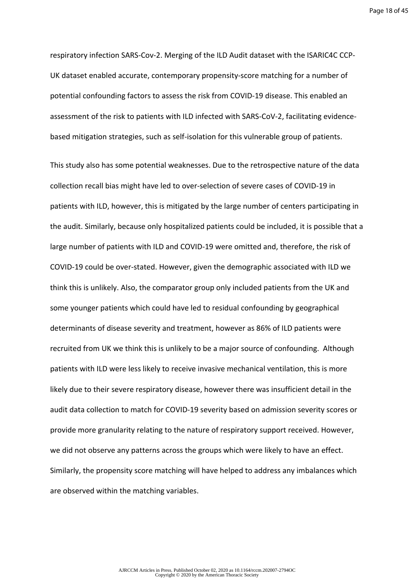respiratory infection SARS-Cov-2. Merging of the ILD Audit dataset with the ISARIC4C CCP-UK dataset enabled accurate, contemporary propensity-score matching for a number of potential confounding factors to assess the risk from COVID-19 disease. This enabled an assessment of the risk to patients with ILD infected with SARS-CoV-2, facilitating evidencebased mitigation strategies, such as self-isolation for this vulnerable group of patients.

This study also has some potential weaknesses. Due to the retrospective nature of the data collection recall bias might have led to over-selection of severe cases of COVID-19 in patients with ILD, however, this is mitigated by the large number of centers participating in the audit. Similarly, because only hospitalized patients could be included, it is possible that a large number of patients with ILD and COVID-19 were omitted and, therefore, the risk of COVID-19 could be over-stated. However, given the demographic associated with ILD we think this is unlikely. Also, the comparator group only included patients from the UK and some younger patients which could have led to residual confounding by geographical determinants of disease severity and treatment, however as 86% of ILD patients were recruited from UK we think this is unlikely to be a major source of confounding. Although patients with ILD were less likely to receive invasive mechanical ventilation, this is more likely due to their severe respiratory disease, however there was insufficient detail in the audit data collection to match for COVID-19 severity based on admission severity scores or provide more granularity relating to the nature of respiratory support received. However, we did not observe any patterns across the groups which were likely to have an effect. Similarly, the propensity score matching will have helped to address any imbalances which are observed within the matching variables.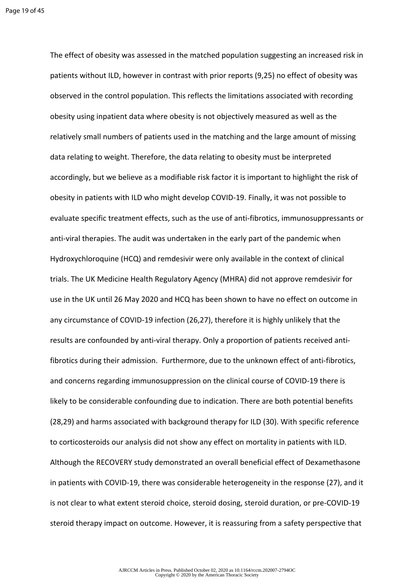The effect of obesity was assessed in the matched population suggesting an increased risk in patients without ILD, however in contrast with prior reports (9,25) no effect of obesity was observed in the control population. This reflects the limitations associated with recording obesity using inpatient data where obesity is not objectively measured as well as the relatively small numbers of patients used in the matching and the large amount of missing data relating to weight. Therefore, the data relating to obesity must be interpreted accordingly, but we believe as a modifiable risk factor it is important to highlight the risk of obesity in patients with ILD who might develop COVID-19. Finally, it was not possible to evaluate specific treatment effects, such as the use of anti-fibrotics, immunosuppressants or anti-viral therapies. The audit was undertaken in the early part of the pandemic when Hydroxychloroquine (HCQ) and remdesivir were only available in the context of clinical trials. The UK Medicine Health Regulatory Agency (MHRA) did not approve remdesivir for use in the UK until 26 May 2020 and HCQ has been shown to have no effect on outcome in any circumstance of COVID-19 infection (26,27), therefore it is highly unlikely that the results are confounded by anti-viral therapy. Only a proportion of patients received antifibrotics during their admission. Furthermore, due to the unknown effect of anti-fibrotics, and concerns regarding immunosuppression on the clinical course of COVID-19 there is likely to be considerable confounding due to indication. There are both potential benefits (28,29) and harms associated with background therapy for ILD (30). With specific reference to corticosteroids our analysis did not show any effect on mortality in patients with ILD. Although the RECOVERY study demonstrated an overall beneficial effect of Dexamethasone in patients with COVID-19, there was considerable heterogeneity in the response (27), and it is not clear to what extent steroid choice, steroid dosing, steroid duration, or pre-COVID-19 steroid therapy impact on outcome. However, it is reassuring from a safety perspective that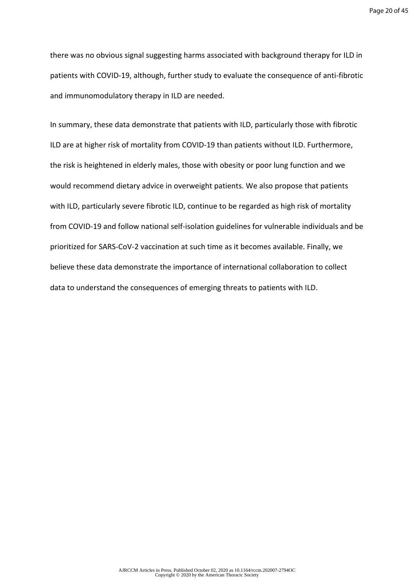there was no obvious signal suggesting harms associated with background therapy for ILD in patients with COVID-19, although, further study to evaluate the consequence of anti-fibrotic and immunomodulatory therapy in ILD are needed.

In summary, these data demonstrate that patients with ILD, particularly those with fibrotic ILD are at higher risk of mortality from COVID-19 than patients without ILD. Furthermore, the risk is heightened in elderly males, those with obesity or poor lung function and we would recommend dietary advice in overweight patients. We also propose that patients with ILD, particularly severe fibrotic ILD, continue to be regarded as high risk of mortality from COVID-19 and follow national self-isolation guidelines for vulnerable individuals and be prioritized for SARS-CoV-2 vaccination at such time as it becomes available. Finally, we believe these data demonstrate the importance of international collaboration to collect data to understand the consequences of emerging threats to patients with ILD.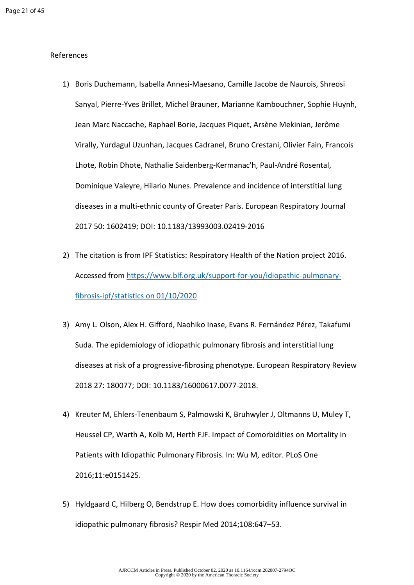#### References

- 1) Boris Duchemann, Isabella Annesi-Maesano, Camille Jacobe de Naurois, Shreosi Sanyal, Pierre-Yves Brillet, Michel Brauner, Marianne Kambouchner, Sophie Huynh, Jean Marc Naccache, Raphael Borie, Jacques Piquet, Arsène Mekinian, Jerôme Virally, Yurdagul Uzunhan, Jacques Cadranel, Bruno Crestani, Olivier Fain, Francois Lhote, Robin Dhote, Nathalie Saidenberg-Kermanac'h, Paul-André Rosental, Dominique Valeyre, Hilario Nunes. Prevalence and incidence of interstitial lung diseases in a multi-ethnic county of Greater Paris. European Respiratory Journal 2017 50: 1602419; DOI: 10.1183/13993003.02419-2016
- 2) The citation is from IPF Statistics: Respiratory Health of the Nation project 2016. Accessed from [https://www.blf.org.uk/support-for-you/idiopathic-pulmonary](https://www.blf.org.uk/support-for-you/idiopathic-pulmonary-fibrosis-ipf/statistics�on%2001/10/2020)[fibrosis-ipf/statistics on 01/10/2020](https://www.blf.org.uk/support-for-you/idiopathic-pulmonary-fibrosis-ipf/statistics�on%2001/10/2020)
- 3) Amy L. Olson, Alex H. Gifford, Naohiko Inase, Evans R. Fernández Pérez, Takafumi Suda. The epidemiology of idiopathic pulmonary fibrosis and interstitial lung diseases at risk of a progressive-fibrosing phenotype. European Respiratory Review 2018 27: 180077; DOI: 10.1183/16000617.0077-2018.
- 4) Kreuter M, Ehlers-Tenenbaum S, Palmowski K, Bruhwyler J, Oltmanns U, Muley T, Heussel CP, Warth A, Kolb M, Herth FJF. Impact of Comorbidities on Mortality in Patients with Idiopathic Pulmonary Fibrosis. In: Wu M, editor. PLoS One 2016;11:e0151425.
- 5) Hyldgaard C, Hilberg O, Bendstrup E. How does comorbidity influence survival in idiopathic pulmonary fibrosis? Respir Med 2014;108:647–53.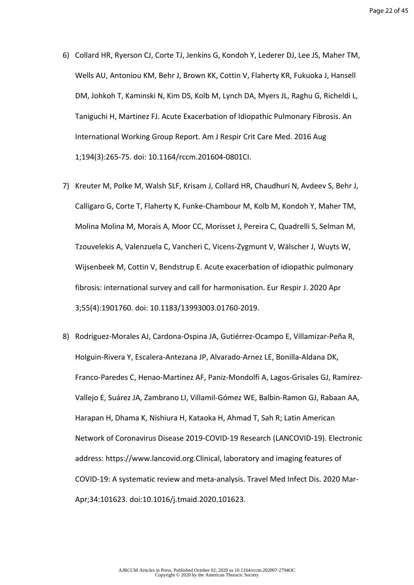- 6) Collard HR, Ryerson CJ, Corte TJ, Jenkins G, Kondoh Y, Lederer DJ, Lee JS, Maher TM, Wells AU, Antoniou KM, Behr J, Brown KK, Cottin V, Flaherty KR, Fukuoka J, Hansell DM, Johkoh T, Kaminski N, Kim DS, Kolb M, Lynch DA, Myers JL, Raghu G, Richeldi L, Taniguchi H, Martinez FJ. Acute Exacerbation of Idiopathic Pulmonary Fibrosis. An International Working Group Report. Am J Respir Crit Care Med. 2016 Aug 1;194(3):265-75. doi: 10.1164/rccm.201604-0801CI.
- 7) Kreuter M, Polke M, Walsh SLF, Krisam J, Collard HR, Chaudhuri N, Avdeev S, Behr J, Calligaro G, Corte T, Flaherty K, Funke-Chambour M, Kolb M, Kondoh Y, Maher TM, Molina Molina M, Morais A, Moor CC, Morisset J, Pereira C, Quadrelli S, Selman M, Tzouvelekis A, Valenzuela C, Vancheri C, Vicens-Zygmunt V, Wälscher J, Wuyts W, Wijsenbeek M, Cottin V, Bendstrup E. Acute exacerbation of idiopathic pulmonary fibrosis: international survey and call for harmonisation. Eur Respir J. 2020 Apr 3;55(4):1901760. doi: 10.1183/13993003.01760-2019.
- 8) Rodriguez-Morales AJ, Cardona-Ospina JA, Gutiérrez-Ocampo E, Villamizar-Peña R, Holguin-Rivera Y, Escalera-Antezana JP, Alvarado-Arnez LE, Bonilla-Aldana DK, Franco-Paredes C, Henao-Martinez AF, Paniz-Mondolfi A, Lagos-Grisales GJ, Ramírez-Vallejo E, Suárez JA, Zambrano LI, Villamil-Gómez WE, Balbin-Ramon GJ, Rabaan AA, Harapan H, Dhama K, Nishiura H, Kataoka H, Ahmad T, Sah R; Latin American Network of Coronavirus Disease 2019-COVID-19 Research (LANCOVID-19). Electronic address: https://www.lancovid.org.Clinical, laboratory and imaging features of COVID-19: A systematic review and meta-analysis. Travel Med Infect Dis. 2020 Mar-Apr;34:101623. doi:10.1016/j.tmaid.2020.101623.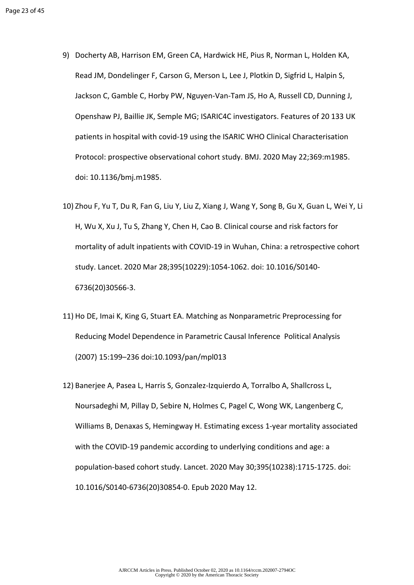- 9) Docherty AB, Harrison EM, Green CA, Hardwick HE, Pius R, Norman L, Holden KA, Read JM, Dondelinger F, Carson G, Merson L, Lee J, Plotkin D, Sigfrid L, Halpin S, Jackson C, Gamble C, Horby PW, Nguyen-Van-Tam JS, Ho A, Russell CD, Dunning J, Openshaw PJ, Baillie JK, Semple MG; ISARIC4C investigators. Features of 20 133 UK patients in hospital with covid-19 using the ISARIC WHO Clinical Characterisation Protocol: prospective observational cohort study. BMJ. 2020 May 22;369:m1985. doi: 10.1136/bmj.m1985.
- 10) Zhou F, Yu T, Du R, Fan G, Liu Y, Liu Z, Xiang J, Wang Y, Song B, Gu X, Guan L, Wei Y, Li H, Wu X, Xu J, Tu S, Zhang Y, Chen H, Cao B. Clinical course and risk factors for mortality of adult inpatients with COVID-19 in Wuhan, China: a retrospective cohort study. Lancet. 2020 Mar 28;395(10229):1054-1062. doi: 10.1016/S0140- 6736(20)30566-3.
- 11) Ho DE, Imai K, King G, Stuart EA. Matching as Nonparametric Preprocessing for Reducing Model Dependence in Parametric Causal Inference Political Analysis (2007) 15:199–236 doi:10.1093/pan/mpl013
- 12) Banerjee A, Pasea L, Harris S, Gonzalez-Izquierdo A, Torralbo A, Shallcross L, Noursadeghi M, Pillay D, Sebire N, Holmes C, Pagel C, Wong WK, Langenberg C, Williams B, Denaxas S, Hemingway H. Estimating excess 1-year mortality associated with the COVID-19 pandemic according to underlying conditions and age: a population-based cohort study. Lancet. 2020 May 30;395(10238):1715-1725. doi: 10.1016/S0140-6736(20)30854-0. Epub 2020 May 12.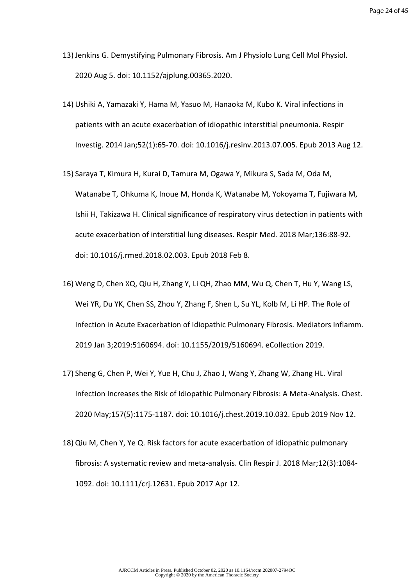- 13) Jenkins G. Demystifying Pulmonary Fibrosis. Am J Physiolo Lung Cell Mol Physiol. 2020 Aug 5. doi: 10.1152/ajplung.00365.2020.
- 14) Ushiki A, Yamazaki Y, Hama M, Yasuo M, Hanaoka M, Kubo K. Viral infections in patients with an acute exacerbation of idiopathic interstitial pneumonia. Respir Investig. 2014 Jan;52(1):65-70. doi: 10.1016/j.resinv.2013.07.005. Epub 2013 Aug 12.
- 15) Saraya T, Kimura H, Kurai D, Tamura M, Ogawa Y, Mikura S, Sada M, Oda M, Watanabe T, Ohkuma K, Inoue M, Honda K, Watanabe M, Yokoyama T, Fujiwara M, Ishii H, Takizawa H. Clinical significance of respiratory virus detection in patients with acute exacerbation of interstitial lung diseases. Respir Med. 2018 Mar;136:88-92. doi: 10.1016/j.rmed.2018.02.003. Epub 2018 Feb 8.
- 16) Weng D, Chen XQ, Qiu H, Zhang Y, Li QH, Zhao MM, Wu Q, Chen T, Hu Y, Wang LS, Wei YR, Du YK, Chen SS, Zhou Y, Zhang F, Shen L, Su YL, Kolb M, Li HP. The Role of Infection in Acute Exacerbation of Idiopathic Pulmonary Fibrosis. Mediators Inflamm. 2019 Jan 3;2019:5160694. doi: 10.1155/2019/5160694. eCollection 2019.
- 17) Sheng G, Chen P, Wei Y, Yue H, Chu J, Zhao J, Wang Y, Zhang W, Zhang HL. Viral Infection Increases the Risk of Idiopathic Pulmonary Fibrosis: A Meta-Analysis. Chest. 2020 May;157(5):1175-1187. doi: 10.1016/j.chest.2019.10.032. Epub 2019 Nov 12.
- 18) Qiu M, Chen Y, Ye Q. Risk factors for acute exacerbation of idiopathic pulmonary fibrosis: A systematic review and meta-analysis. Clin Respir J. 2018 Mar;12(3):1084- 1092. doi: 10.1111/crj.12631. Epub 2017 Apr 12.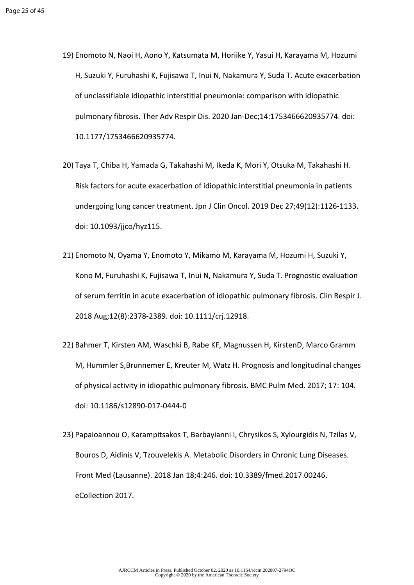- 19) Enomoto N, Naoi H, Aono Y, Katsumata M, Horiike Y, Yasui H, Karayama M, Hozumi H, Suzuki Y, Furuhashi K, Fujisawa T, Inui N, Nakamura Y, Suda T. Acute exacerbation of unclassifiable idiopathic interstitial pneumonia: comparison with idiopathic pulmonary fibrosis. Ther Adv Respir Dis. 2020 Jan-Dec;14:1753466620935774. doi: 10.1177/1753466620935774.
- 20) Taya T, Chiba H, Yamada G, Takahashi M, Ikeda K, Mori Y, Otsuka M, Takahashi H. Risk factors for acute exacerbation of idiopathic interstitial pneumonia in patients undergoing lung cancer treatment. Jpn J Clin Oncol. 2019 Dec 27;49(12):1126-1133. doi: 10.1093/jjco/hyz115.
- 21) Enomoto N, Oyama Y, Enomoto Y, Mikamo M, Karayama M, Hozumi H, Suzuki Y, Kono M, Furuhashi K, Fujisawa T, Inui N, Nakamura Y, Suda T. Prognostic evaluation of serum ferritin in acute exacerbation of idiopathic pulmonary fibrosis. Clin Respir J. 2018 Aug;12(8):2378-2389. doi: 10.1111/crj.12918.
- 22) Bahmer T, Kirsten AM, Waschki B, Rabe KF, Magnussen H, KirstenD, Marco Gramm M, Hummler S,Brunnemer E, Kreuter M, Watz H. Prognosis and longitudinal changes of physical activity in idiopathic pulmonary fibrosis. BMC Pulm Med. 2017; 17: 104. doi: 10.1186/s12890-017-0444-0
- 23) Papaioannou O, Karampitsakos T, Barbayianni I, Chrysikos S, Xylourgidis N, Tzilas V, Bouros D, Aidinis V, Tzouvelekis A. Metabolic Disorders in Chronic Lung Diseases. Front Med (Lausanne). 2018 Jan 18;4:246. doi: 10.3389/fmed.2017.00246. eCollection 2017.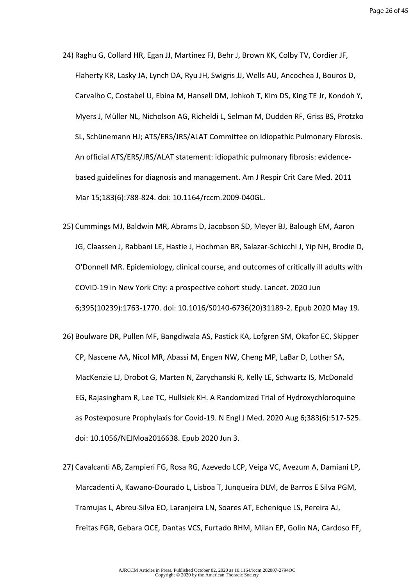- 24) Raghu G, Collard HR, Egan JJ, Martinez FJ, Behr J, Brown KK, Colby TV, Cordier JF, Flaherty KR, Lasky JA, Lynch DA, Ryu JH, Swigris JJ, Wells AU, Ancochea J, Bouros D, Carvalho C, Costabel U, Ebina M, Hansell DM, Johkoh T, Kim DS, King TE Jr, Kondoh Y, Myers J, Müller NL, Nicholson AG, Richeldi L, Selman M, Dudden RF, Griss BS, Protzko SL, Schünemann HJ; ATS/ERS/JRS/ALAT Committee on Idiopathic Pulmonary Fibrosis. An official ATS/ERS/JRS/ALAT statement: idiopathic pulmonary fibrosis: evidencebased guidelines for diagnosis and management. Am J Respir Crit Care Med. 2011 Mar 15;183(6):788-824. doi: 10.1164/rccm.2009-040GL.
- 25) Cummings MJ, Baldwin MR, Abrams D, Jacobson SD, Meyer BJ, Balough EM, Aaron JG, Claassen J, Rabbani LE, Hastie J, Hochman BR, Salazar-Schicchi J, Yip NH, Brodie D, O'Donnell MR. Epidemiology, clinical course, and outcomes of critically ill adults with COVID-19 in New York City: a prospective cohort study. Lancet. 2020 Jun 6;395(10239):1763-1770. doi: 10.1016/S0140-6736(20)31189-2. Epub 2020 May 19.
- 26) Boulware DR, Pullen MF, Bangdiwala AS, Pastick KA, Lofgren SM, Okafor EC, Skipper CP, Nascene AA, Nicol MR, Abassi M, Engen NW, Cheng MP, LaBar D, Lother SA, MacKenzie LJ, Drobot G, Marten N, Zarychanski R, Kelly LE, Schwartz IS, McDonald EG, Rajasingham R, Lee TC, Hullsiek KH. A Randomized Trial of Hydroxychloroquine as Postexposure Prophylaxis for Covid-19. N Engl J Med. 2020 Aug 6;383(6):517-525. doi: 10.1056/NEJMoa2016638. Epub 2020 Jun 3.
- 27) Cavalcanti AB, Zampieri FG, Rosa RG, Azevedo LCP, Veiga VC, Avezum A, Damiani LP, Marcadenti A, Kawano-Dourado L, Lisboa T, Junqueira DLM, de Barros E Silva PGM, Tramujas L, Abreu-Silva EO, Laranjeira LN, Soares AT, Echenique LS, Pereira AJ, Freitas FGR, Gebara OCE, Dantas VCS, Furtado RHM, Milan EP, Golin NA, Cardoso FF,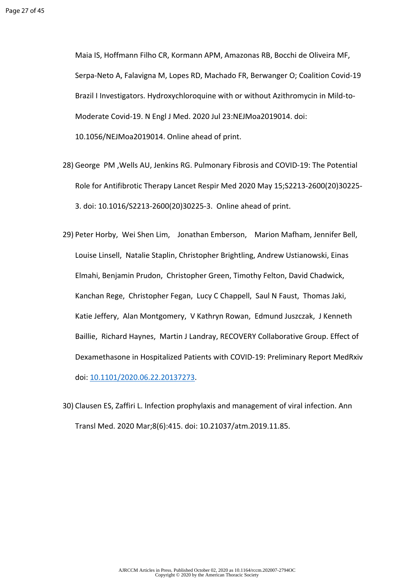Maia IS, Hoffmann Filho CR, Kormann APM, Amazonas RB, Bocchi de Oliveira MF, Serpa-Neto A, Falavigna M, Lopes RD, Machado FR, Berwanger O; Coalition Covid-19 Brazil I Investigators. Hydroxychloroquine with or without Azithromycin in Mild-to-Moderate Covid-19. N Engl J Med. 2020 Jul 23:NEJMoa2019014. doi: 10.1056/NEJMoa2019014. Online ahead of print.

- 28) George PM ,Wells AU, Jenkins RG. Pulmonary Fibrosis and COVID-19: The Potential Role for Antifibrotic Therapy Lancet Respir Med 2020 May 15;S2213-2600(20)30225- 3. doi: 10.1016/S2213-2600(20)30225-3. Online ahead of print.
- 29) Peter Horby, Wei Shen Lim, Jonathan Emberson, Marion Mafham, Jennifer Bell, Louise Linsell, Natalie Staplin, Christopher Brightling, Andrew Ustianowski, Einas Elmahi, Benjamin Prudon, Christopher Green, Timothy Felton, David Chadwick, Kanchan Rege, Christopher Fegan, Lucy C Chappell, Saul N Faust, Thomas Jaki, Katie Jeffery, Alan Montgomery, V Kathryn Rowan, Edmund Juszczak, J Kenneth Baillie, Richard Haynes, Martin J Landray, RECOVERY Collaborative Group. Effect of Dexamethasone in Hospitalized Patients with COVID-19: Preliminary Report MedRxiv doi: [10.1101/2020.06.22.20137273.](https://doi.org/10.1101/2020.06.22.20137273)
- 30) Clausen ES, Zaffiri L. Infection prophylaxis and management of viral infection. Ann Transl Med. 2020 Mar;8(6):415. doi: 10.21037/atm.2019.11.85.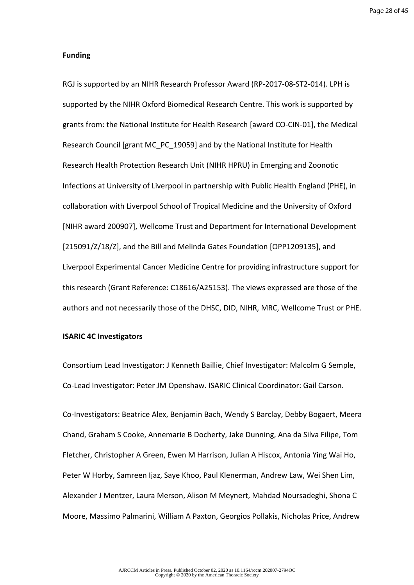#### **Funding**

RGJ is supported by an NIHR Research Professor Award (RP-2017-08-ST2-014). LPH is supported by the NIHR Oxford Biomedical Research Centre. This work is supported by grants from: the National Institute for Health Research [award CO-CIN-01], the Medical Research Council [grant MC\_PC\_19059] and by the National Institute for Health Research Health Protection Research Unit (NIHR HPRU) in Emerging and Zoonotic Infections at University of Liverpool in partnership with Public Health England (PHE), in collaboration with Liverpool School of Tropical Medicine and the University of Oxford [NIHR award 200907], Wellcome Trust and Department for International Development [215091/Z/18/Z], and the Bill and Melinda Gates Foundation [OPP1209135], and Liverpool Experimental Cancer Medicine Centre for providing infrastructure support for this research (Grant Reference: C18616/A25153). The views expressed are those of the authors and not necessarily those of the DHSC, DID, NIHR, MRC, Wellcome Trust or PHE.

#### **ISARIC 4C Investigators**

Consortium Lead Investigator: J Kenneth Baillie, Chief Investigator: Malcolm G Semple, Co-Lead Investigator: Peter JM Openshaw. ISARIC Clinical Coordinator: Gail Carson.

Co-Investigators: Beatrice Alex, Benjamin Bach, Wendy S Barclay, Debby Bogaert, Meera Chand, Graham S Cooke, Annemarie B Docherty, Jake Dunning, Ana da Silva Filipe, Tom Fletcher, Christopher A Green, Ewen M Harrison, Julian A Hiscox, Antonia Ying Wai Ho, Peter W Horby, Samreen Ijaz, Saye Khoo, Paul Klenerman, Andrew Law, Wei Shen Lim, Alexander J Mentzer, Laura Merson, Alison M Meynert, Mahdad Noursadeghi, Shona C Moore, Massimo Palmarini, William A Paxton, Georgios Pollakis, Nicholas Price, Andrew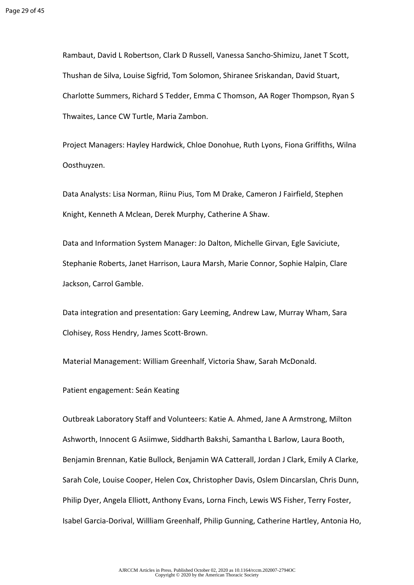Rambaut, David L Robertson, Clark D Russell, Vanessa Sancho-Shimizu, Janet T Scott, Thushan de Silva, Louise Sigfrid, Tom Solomon, Shiranee Sriskandan, David Stuart, Charlotte Summers, Richard S Tedder, Emma C Thomson, AA Roger Thompson, Ryan S Thwaites, Lance CW Turtle, Maria Zambon.

Project Managers: Hayley Hardwick, Chloe Donohue, Ruth Lyons, Fiona Griffiths, Wilna Oosthuyzen.

Data Analysts: Lisa Norman, Riinu Pius, Tom M Drake, Cameron J Fairfield, Stephen Knight, Kenneth A Mclean, Derek Murphy, Catherine A Shaw.

Data and Information System Manager: Jo Dalton, Michelle Girvan, Egle Saviciute, Stephanie Roberts, Janet Harrison, Laura Marsh, Marie Connor, Sophie Halpin, Clare Jackson, Carrol Gamble.

Data integration and presentation: Gary Leeming, Andrew Law, Murray Wham, Sara Clohisey, Ross Hendry, James Scott-Brown.

Material Management: William Greenhalf, Victoria Shaw, Sarah McDonald.

Patient engagement: Seán Keating

Outbreak Laboratory Staff and Volunteers: Katie A. Ahmed, Jane A Armstrong, Milton Ashworth, Innocent G Asiimwe, Siddharth Bakshi, Samantha L Barlow, Laura Booth, Benjamin Brennan, Katie Bullock, Benjamin WA Catterall, Jordan J Clark, Emily A Clarke, Sarah Cole, Louise Cooper, Helen Cox, Christopher Davis, Oslem Dincarslan, Chris Dunn, Philip Dyer, Angela Elliott, Anthony Evans, Lorna Finch, Lewis WS Fisher, Terry Foster, Isabel Garcia-Dorival, Willliam Greenhalf, Philip Gunning, Catherine Hartley, Antonia Ho,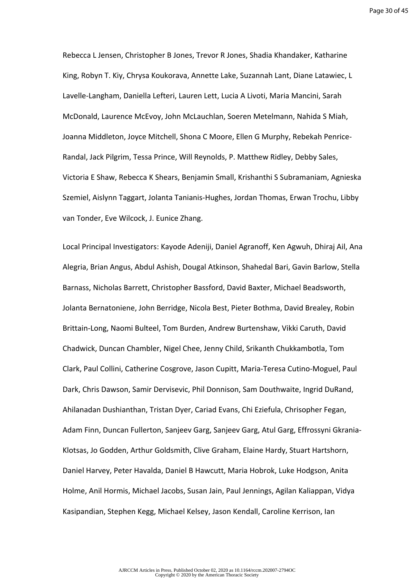Page 30 of 45

Rebecca L Jensen, Christopher B Jones, Trevor R Jones, Shadia Khandaker, Katharine King, Robyn T. Kiy, Chrysa Koukorava, Annette Lake, Suzannah Lant, Diane Latawiec, L Lavelle-Langham, Daniella Lefteri, Lauren Lett, Lucia A Livoti, Maria Mancini, Sarah McDonald, Laurence McEvoy, John McLauchlan, Soeren Metelmann, Nahida S Miah, Joanna Middleton, Joyce Mitchell, Shona C Moore, Ellen G Murphy, Rebekah Penrice-Randal, Jack Pilgrim, Tessa Prince, Will Reynolds, P. Matthew Ridley, Debby Sales, Victoria E Shaw, Rebecca K Shears, Benjamin Small, Krishanthi S Subramaniam, Agnieska Szemiel, Aislynn Taggart, Jolanta Tanianis-Hughes, Jordan Thomas, Erwan Trochu, Libby van Tonder, Eve Wilcock, J. Eunice Zhang.

Local Principal Investigators: Kayode Adeniji, Daniel Agranoff, Ken Agwuh, Dhiraj Ail, Ana Alegria, Brian Angus, Abdul Ashish, Dougal Atkinson, Shahedal Bari, Gavin Barlow, Stella Barnass, Nicholas Barrett, Christopher Bassford, David Baxter, Michael Beadsworth, Jolanta Bernatoniene, John Berridge, Nicola Best, Pieter Bothma, David Brealey, Robin Brittain-Long, Naomi Bulteel, Tom Burden, Andrew Burtenshaw, Vikki Caruth, David Chadwick, Duncan Chambler, Nigel Chee, Jenny Child, Srikanth Chukkambotla, Tom Clark, Paul Collini, Catherine Cosgrove, Jason Cupitt, Maria-Teresa Cutino-Moguel, Paul Dark, Chris Dawson, Samir Dervisevic, Phil Donnison, Sam Douthwaite, Ingrid DuRand, Ahilanadan Dushianthan, Tristan Dyer, Cariad Evans, Chi Eziefula, Chrisopher Fegan, Adam Finn, Duncan Fullerton, Sanjeev Garg, Sanjeev Garg, Atul Garg, Effrossyni Gkrania-Klotsas, Jo Godden, Arthur Goldsmith, Clive Graham, Elaine Hardy, Stuart Hartshorn, Daniel Harvey, Peter Havalda, Daniel B Hawcutt, Maria Hobrok, Luke Hodgson, Anita Holme, Anil Hormis, Michael Jacobs, Susan Jain, Paul Jennings, Agilan Kaliappan, Vidya Kasipandian, Stephen Kegg, Michael Kelsey, Jason Kendall, Caroline Kerrison, Ian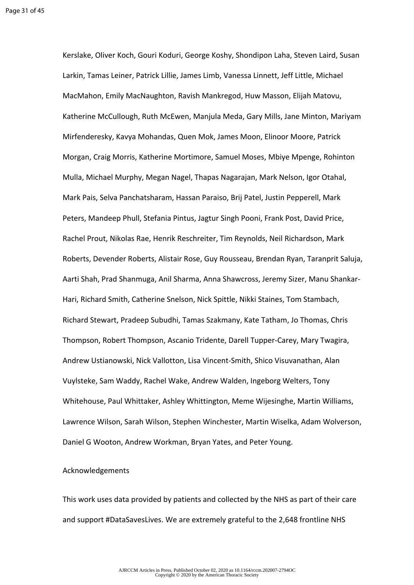Kerslake, Oliver Koch, Gouri Koduri, George Koshy, Shondipon Laha, Steven Laird, Susan Larkin, Tamas Leiner, Patrick Lillie, James Limb, Vanessa Linnett, Jeff Little, Michael MacMahon, Emily MacNaughton, Ravish Mankregod, Huw Masson, Elijah Matovu, Katherine McCullough, Ruth McEwen, Manjula Meda, Gary Mills, Jane Minton, Mariyam Mirfenderesky, Kavya Mohandas, Quen Mok, James Moon, Elinoor Moore, Patrick Morgan, Craig Morris, Katherine Mortimore, Samuel Moses, Mbiye Mpenge, Rohinton Mulla, Michael Murphy, Megan Nagel, Thapas Nagarajan, Mark Nelson, Igor Otahal, Mark Pais, Selva Panchatsharam, Hassan Paraiso, Brij Patel, Justin Pepperell, Mark Peters, Mandeep Phull, Stefania Pintus, Jagtur Singh Pooni, Frank Post, David Price, Rachel Prout, Nikolas Rae, Henrik Reschreiter, Tim Reynolds, Neil Richardson, Mark Roberts, Devender Roberts, Alistair Rose, Guy Rousseau, Brendan Ryan, Taranprit Saluja, Aarti Shah, Prad Shanmuga, Anil Sharma, Anna Shawcross, Jeremy Sizer, Manu Shankar-Hari, Richard Smith, Catherine Snelson, Nick Spittle, Nikki Staines, Tom Stambach, Richard Stewart, Pradeep Subudhi, Tamas Szakmany, Kate Tatham, Jo Thomas, Chris Thompson, Robert Thompson, Ascanio Tridente, Darell Tupper-Carey, Mary Twagira, Andrew Ustianowski, Nick Vallotton, Lisa Vincent-Smith, Shico Visuvanathan, Alan Vuylsteke, Sam Waddy, Rachel Wake, Andrew Walden, Ingeborg Welters, Tony Whitehouse, Paul Whittaker, Ashley Whittington, Meme Wijesinghe, Martin Williams, Lawrence Wilson, Sarah Wilson, Stephen Winchester, Martin Wiselka, Adam Wolverson, Daniel G Wooton, Andrew Workman, Bryan Yates, and Peter Young.

#### Acknowledgements

This work uses data provided by patients and collected by the NHS as part of their care and support #DataSavesLives. We are extremely grateful to the 2,648 frontline NHS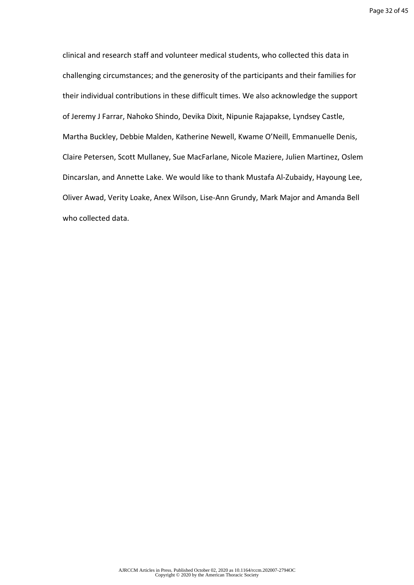clinical and research staff and volunteer medical students, who collected this data in challenging circumstances; and the generosity of the participants and their families for their individual contributions in these difficult times. We also acknowledge the support of Jeremy J Farrar, Nahoko Shindo, Devika Dixit, Nipunie Rajapakse, Lyndsey Castle, Martha Buckley, Debbie Malden, Katherine Newell, Kwame O'Neill, Emmanuelle Denis, Claire Petersen, Scott Mullaney, Sue MacFarlane, Nicole Maziere, Julien Martinez, Oslem Dincarslan, and Annette Lake. We would like to thank Mustafa Al-Zubaidy, Hayoung Lee, Oliver Awad, Verity Loake, Anex Wilson, Lise-Ann Grundy, Mark Major and Amanda Bell who collected data.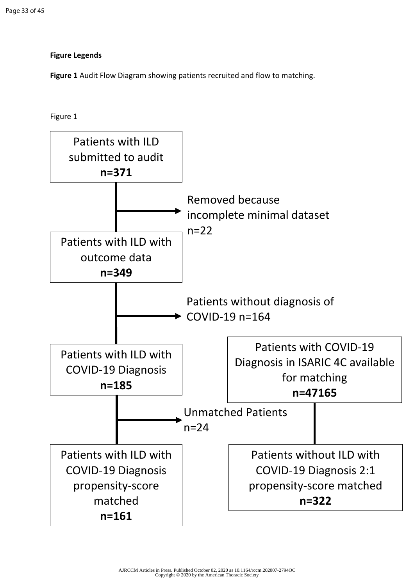# **Figure Legends**

**Figure 1** Audit Flow Diagram showing patients recruited and flow to matching.

Figure 1

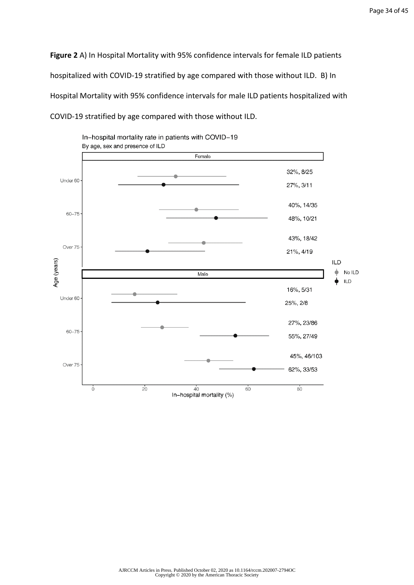Page 34 of 45

**Figure 2** A) In Hospital Mortality with 95% confidence intervals for female ILD patients hospitalized with COVID-19 stratified by age compared with those without ILD. B) In Hospital Mortality with 95% confidence intervals for male ILD patients hospitalized with COVID-19 stratified by age compared with those without ILD.

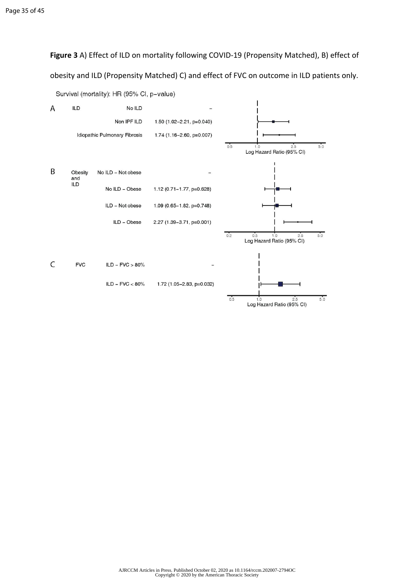**Figure 3** A) Effect of ILD on mortality following COVID-19 (Propensity Matched), B) effect of obesity and ILD (Propensity Matched) C) and effect of FVC on outcome in ILD patients only.



Survival (mortality): HR (95% Cl, p-value)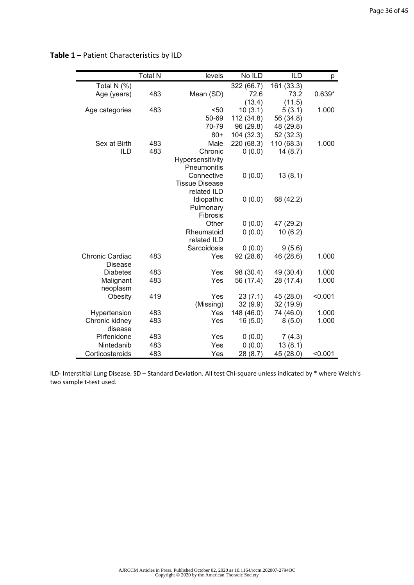|                        | <b>Total N</b> | levels                     | No ILD     | <b>ILD</b> | p        |
|------------------------|----------------|----------------------------|------------|------------|----------|
| Total N (%)            |                |                            | 322 (66.7) | 161 (33.3) |          |
| Age (years)            | 483            | Mean (SD)                  | 72.6       | 73.2       | $0.639*$ |
|                        |                |                            | (13.4)     | (11.5)     |          |
| Age categories         | 483            | $50$                       | 10(3.1)    | 5(3.1)     | 1.000    |
|                        |                | 50-69                      | 112 (34.8) | 56 (34.8)  |          |
|                        |                | 70-79                      | 96 (29.8)  | 48 (29.8)  |          |
|                        |                | $80+$                      | 104 (32.3) | 52 (32.3)  |          |
| Sex at Birth           | 483            | Male                       | 220 (68.3) | 110 (68.3) | 1.000    |
| ILD                    | 483            | Chronic                    | 0(0.0)     | 14(8.7)    |          |
|                        |                | Hypersensitivity           |            |            |          |
|                        |                | Pneumonitis                |            |            |          |
|                        |                | Connective                 | 0(0.0)     | 13(8.1)    |          |
|                        |                | <b>Tissue Disease</b>      |            |            |          |
|                        |                | related ILD                |            |            |          |
|                        |                | Idiopathic                 | 0(0.0)     | 68 (42.2)  |          |
|                        |                | Pulmonary                  |            |            |          |
|                        |                | Fibrosis<br>Other          |            |            |          |
|                        |                |                            | 0(0.0)     | 47 (29.2)  |          |
|                        |                | Rheumatoid                 | 0(0.0)     | 10(6.2)    |          |
|                        |                | related ILD<br>Sarcoidosis | 0(0.0)     | 9(5.6)     |          |
| <b>Chronic Cardiac</b> | 483            | Yes                        | 92(28.6)   | 46 (28.6)  | 1.000    |
| <b>Disease</b>         |                |                            |            |            |          |
| <b>Diabetes</b>        | 483            | Yes                        | 98 (30.4)  | 49 (30.4)  | 1.000    |
| Malignant              | 483            | Yes                        | 56 (17.4)  | 28 (17.4)  | 1.000    |
| neoplasm               |                |                            |            |            |          |
| Obesity                | 419            | Yes                        | 23(7.1)    | 45 (28.0)  | < 0.001  |
|                        |                | (Missing)                  | 32(9.9)    | 32 (19.9)  |          |
| Hypertension           | 483            | Yes                        | 148 (46.0) | 74 (46.0)  | 1.000    |
| Chronic kidney         | 483            | Yes                        | 16(5.0)    | 8(5.0)     | 1.000    |
| disease                |                |                            |            |            |          |
| Pirfenidone            | 483            | Yes                        | 0(0.0)     | 7(4.3)     |          |
| Nintedanib             | 483            | Yes                        | 0(0.0)     | 13(8.1)    |          |
| Corticosteroids        | 483            | Yes                        | 28 (8.7)   | 45 (28.0)  | < 0.001  |

# **Table 1 –** Patient Characteristics by ILD

ILD- Interstitial Lung Disease. SD – Standard Deviation. All test Chi-square unless indicated by \* where Welch's two sample t-test used.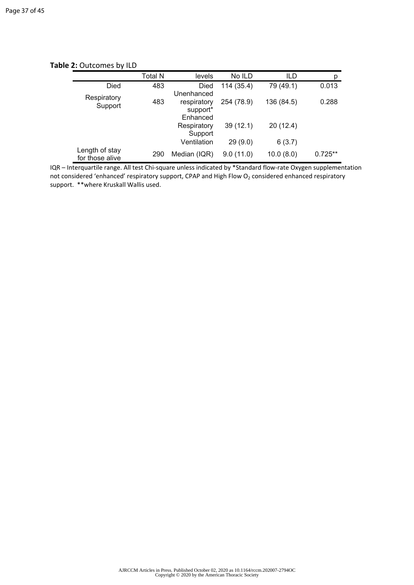|                                   | <b>Total N</b> | levels       | No ILD     | ILD        | р         |
|-----------------------------------|----------------|--------------|------------|------------|-----------|
| Died                              | 483            | Died         | 114 (35.4) | 79 (49.1)  | 0.013     |
| Respiratory                       |                | Unenhanced   |            |            |           |
| Support                           | 483            | respiratory  | 254 (78.9) | 136 (84.5) | 0.288     |
|                                   |                | support*     |            |            |           |
|                                   |                | Enhanced     |            |            |           |
|                                   |                | Respiratory  | 39(12.1)   | 20(12.4)   |           |
|                                   |                | Support      |            |            |           |
|                                   |                | Ventilation  | 29(9.0)    | 6(3.7)     |           |
| Length of stay<br>for those alive | 290            | Median (IQR) | 9.0(11.0)  | 10.0(8.0)  | $0.725**$ |

**Table 2:** Outcomes by ILD

IQR – Interquartile range. All test Chi-square unless indicated by \*Standard flow-rate Oxygen supplementation not considered 'enhanced' respiratory support, CPAP and High Flow  $O_2$  considered enhanced respiratory support. \*\*where Kruskall Wallis used.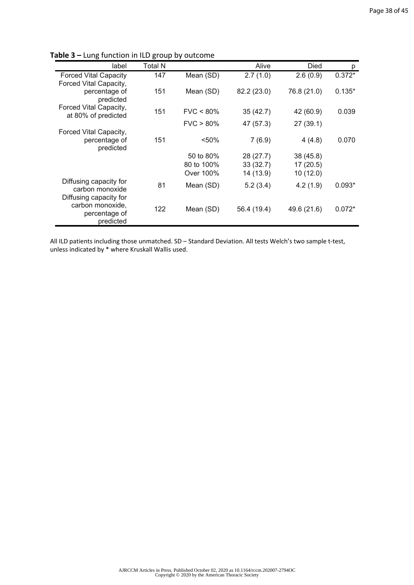| label                                          | Total N |              | Alive       | Died        | p        |
|------------------------------------------------|---------|--------------|-------------|-------------|----------|
| <b>Forced Vital Capacity</b>                   | 147     | Mean (SD)    | 2.7(1.0)    | 2.6(0.9)    | $0.372*$ |
| Forced Vital Capacity,                         |         |              |             |             |          |
| percentage of<br>predicted                     | 151     | Mean (SD)    | 82.2 (23.0) | 76.8 (21.0) | $0.135*$ |
| Forced Vital Capacity,                         | 151     | $FVC < 80\%$ | 35(42.7)    | 42 (60.9)   | 0.039    |
| at 80% of predicted                            |         |              |             |             |          |
|                                                |         | $FVC > 80\%$ | 47 (57.3)   | 27(39.1)    |          |
| Forced Vital Capacity,                         |         |              |             |             |          |
| percentage of<br>predicted                     | 151     | < 50%        | 7(6.9)      | 4(4.8)      | 0.070    |
|                                                |         | 50 to 80%    | 28(27.7)    | 38(45.8)    |          |
|                                                |         | 80 to 100%   | 33(32.7)    | 17(20.5)    |          |
|                                                |         | Over 100%    | 14 (13.9)   | 10(12.0)    |          |
| Diffusing capacity for<br>carbon monoxide      | 81      | Mean (SD)    | 5.2(3.4)    | 4.2(1.9)    | $0.093*$ |
| Diffusing capacity for                         |         |              |             |             |          |
| carbon monoxide,<br>percentage of<br>predicted | 122     | Mean (SD)    | 56.4 (19.4) | 49.6 (21.6) | $0.072*$ |

**Table 3 –** Lung function in ILD group by outcome

All ILD patients including those unmatched. SD – Standard Deviation. All tests Welch's two sample t-test, unless indicated by \* where Kruskall Wallis used.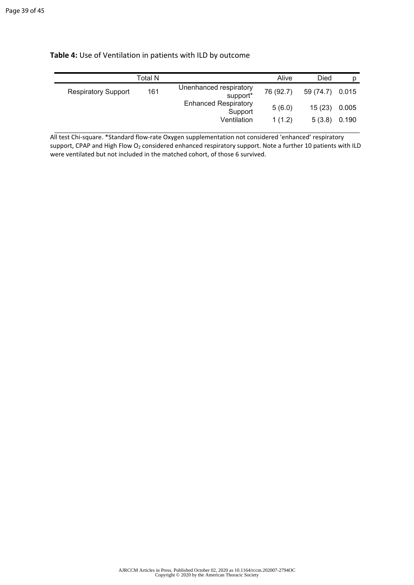|                            | <b>Total N</b> |                                                | Alive     | Died      | D     |
|----------------------------|----------------|------------------------------------------------|-----------|-----------|-------|
| <b>Respiratory Support</b> | 161            | Unenhanced respiratory<br>support <sup>*</sup> | 76 (92.7) | 59 (74.7) | 0.015 |
|                            |                | <b>Enhanced Respiratory</b><br>Support         | 5(6.0)    | 15(23)    | 0.005 |
|                            |                | Ventilation                                    | 1(1.2)    | 5(3.8)    | 0.190 |

All test Chi-square. \*Standard flow-rate Oxygen supplementation not considered 'enhanced' respiratory support, CPAP and High Flow O<sub>2</sub> considered enhanced respiratory support. Note a further 10 patients with ILD were ventilated but not included in the matched cohort, of those 6 survived.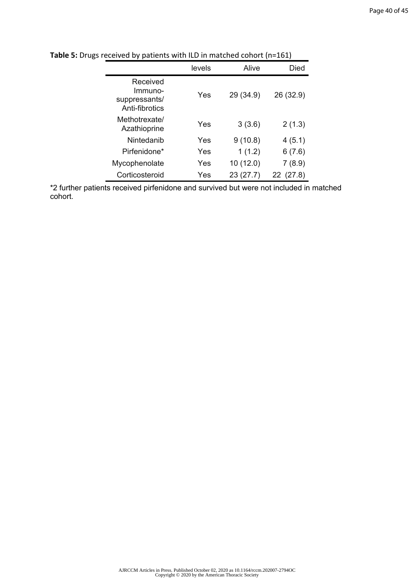|                                                        | levels | Alive     | Died         |
|--------------------------------------------------------|--------|-----------|--------------|
| Received<br>Immuno-<br>suppressants/<br>Anti-fibrotics | Yes    | 29 (34.9) | 26 (32.9)    |
| Methotrexate/<br>Azathioprine                          | Yes    | 3(3.6)    | 2(1.3)       |
| Nintedanib                                             | Yes    | 9(10.8)   | 4(5.1)       |
| Pirfenidone*                                           | Yes    | 1(1.2)    | 6(7.6)       |
| Mycophenolate                                          | Yes    | 10(12.0)  | 7(8.9)       |
| Corticosteroid                                         | Yes    | 23 (27.7) | (27.8)<br>22 |

**Table 5:** Drugs received by patients with ILD in matched cohort (n=161)

\*2 further patients received pirfenidone and survived but were not included in matched cohort.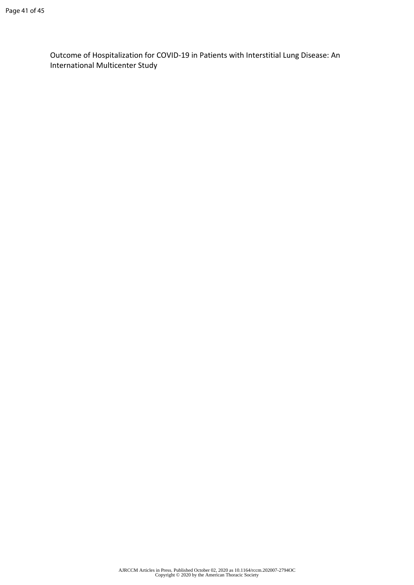Outcome of Hospitalization for COVID-19 in Patients with Interstitial Lung Disease: An International Multicenter Study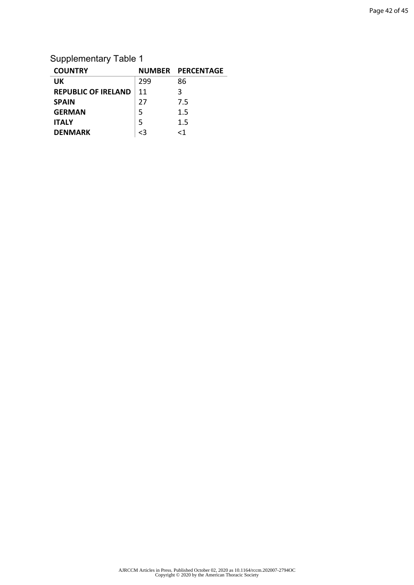# Supplementary Table 1

| <b>COUNTRY</b>             |     | NUMBER PERCENTAGE |
|----------------------------|-----|-------------------|
| <b>UK</b>                  | 299 | 86                |
| <b>REPUBLIC OF IRELAND</b> | 11  | 3                 |
| <b>SPAIN</b>               | 27  | 7.5               |
| <b>GERMAN</b>              | 5   | 1.5               |
| <b>ITALY</b>               | 5   | 1.5               |
| <b>DENMARK</b>             | 73  | -1                |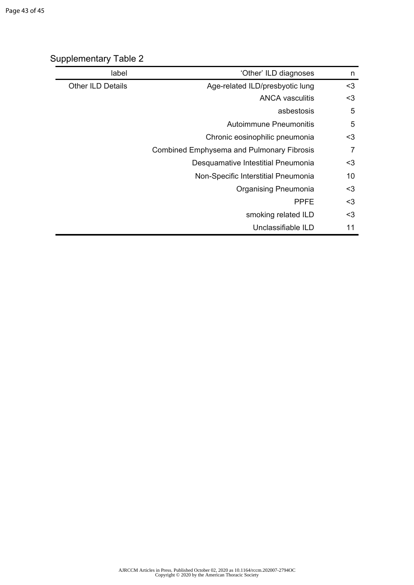| label                    | 'Other' ILD diagnoses                            | n   |
|--------------------------|--------------------------------------------------|-----|
| <b>Other ILD Details</b> | Age-related ILD/presbyotic lung                  | $3$ |
|                          | <b>ANCA vasculitis</b>                           | $3$ |
|                          | asbestosis                                       | 5   |
|                          | Autoimmune Pneumonitis                           | 5   |
|                          | Chronic eosinophilic pneumonia                   | <3  |
|                          | <b>Combined Emphysema and Pulmonary Fibrosis</b> | 7   |
|                          | Desquamative Intestitial Pneumonia               | $3$ |
|                          | Non-Specific Interstitial Pneumonia              | 10  |
|                          | <b>Organising Pneumonia</b>                      | $3$ |
|                          | <b>PPFE</b>                                      | $3$ |
|                          | smoking related ILD                              | $3$ |
|                          | Unclassifiable ILD                               | 11  |

# Supplementary Table 2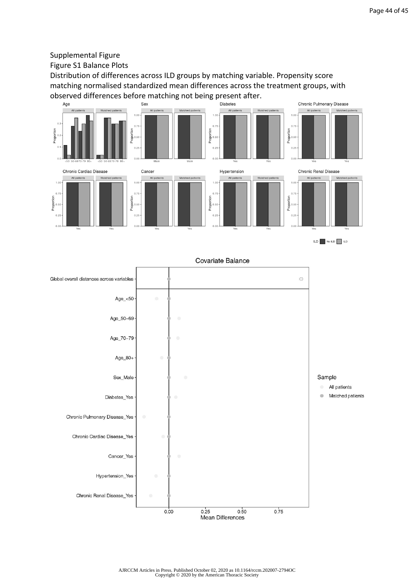## Supplemental Figure

Figure S1 Balance Plots

Distribution of differences across ILD groups by matching variable. Propensity score matching normalised standardized mean differences across the treatment groups, with observed differences before matching not being present after.<br>
Biabetes







Covariate Balance